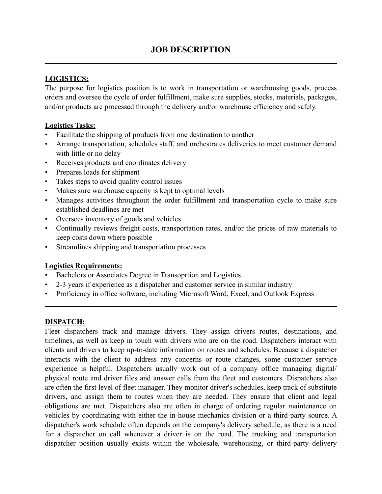# **LOGISTICS:**

The purpose for logistics position is to work in transportation or warehousing goods, process orders and oversee the cycle of order fulfillment, make sure supplies, stocks, materials, packages, and/or products are processed through the delivery and/or warehouse efficiency and safely.

### **Logistics Tasks:**

- Facilitate the shipping of products from one destination to another
- Arrange transportation, schedules staff, and orchestrates deliveries to meet customer demand with little or no delay
- Receives products and coordinates delivery
- Prepares loads for shipment
- Takes steps to avoid quality control issues
- Makes sure warehouse capacity is kept to optimal levels
- Manages activities throughout the order fulfillment and transportation cycle to make sure established deadlines are met
- Oversees inventory of goods and vehicles
- Continually reviews freight costs, transportation rates, and/or the prices of raw materials to keep costs down where possible
- Streamlines shipping and transportation processes

## **Logistics Requirements:**

- Bachelors or Associates Degree in Transoprtion and Logistics
- 2-3 years if experience as a dispatcher and customer service in similar industry
- Proficiency in office software, including Microsoft Word, Excel, and Outlook Express

**\_\_\_\_\_\_\_\_\_\_\_\_\_\_\_\_\_\_\_\_\_\_\_\_\_\_\_\_\_\_\_\_\_\_\_\_\_\_\_\_\_\_\_\_\_\_\_\_\_\_\_\_\_\_\_\_\_\_\_\_\_\_\_\_\_\_\_\_\_\_\_\_\_\_\_\_\_\_** 

#### **DISPATCH:**

Fleet dispatchers track and manage drivers. They assign drivers routes, destinations, and timelines, as well as keep in touch with drivers who are on the road. Dispatchers interact with clients and drivers to keep up-to-date information on routes and schedules. Because a dispatcher interacts with the client to address any concerns or route changes, some customer service experience is helpful. Dispatchers usually work out of a company office managing digital/ physical route and driver files and answer calls from the fleet and customers. Dispatchers also are often the first level of fleet manager. They monitor driver's schedules, keep track of substitute drivers, and assign them to routes when they are needed. They ensure that client and legal obligations are met. Dispatchers also are often in charge of ordering regular maintenance on vehicles by coordinating with either the in-house mechanics division or a third-party source. A dispatcher's work schedule often depends on the company's delivery schedule, as there is a need for a dispatcher on call whenever a driver is on the road. The trucking and transportation dispatcher position usually exists within the wholesale, warehousing, or third-party delivery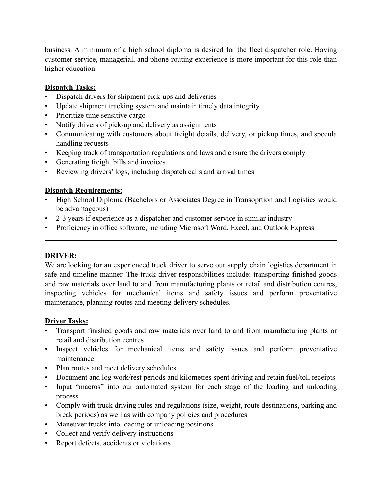business. A minimum of a high school diploma is desired for the fleet dispatcher role. Having customer service, managerial, and phone-routing experience is more important for this role than higher education.

### **Dispatch Tasks:**

- Dispatch drivers for shipment pick-ups and deliveries
- Update shipment tracking system and maintain timely data integrity
- Prioritize time sensitive cargo
- Notify drivers of pick-up and delivery as assignments
- Communicating with customers about freight details, delivery, or pickup times, and specula handling requests
- Keeping track of transportation regulations and laws and ensure the drivers comply
- Generating freight bills and invoices
- Reviewing drivers' logs, including dispatch calls and arrival times

### **Dispatch Requirements:**

• High School Diploma (Bachelors or Associates Degree in Transoprtion and Logistics would be advantageous)

**\_\_\_\_\_\_\_\_\_\_\_\_\_\_\_\_\_\_\_\_\_\_\_\_\_\_\_\_\_\_\_\_\_\_\_\_\_\_\_\_\_\_\_\_\_\_\_\_\_\_\_\_\_\_\_\_\_\_\_\_\_\_\_\_\_\_\_\_\_\_\_\_\_\_\_\_\_\_** 

- 2-3 years if experience as a dispatcher and customer service in similar industry
- Proficiency in office software, including Microsoft Word, Excel, and Outlook Express

#### **DRIVER:**

We are looking for an experienced truck driver to serve our supply chain logistics department in safe and timeline manner. The truck driver responsibilities include: transporting finished goods and raw materials over land to and from manufacturing plants or retail and distribution centres, inspecting vehicles for mechanical items and safety issues and perform preventative maintenance, planning routes and meeting delivery schedules.

#### **Driver Tasks:**

- Transport finished goods and raw materials over land to and from manufacturing plants or retail and distribution centres
- Inspect vehicles for mechanical items and safety issues and perform preventative maintenance
- Plan routes and meet delivery schedules
- Document and log work/rest periods and kilometres spent driving and retain fuel/toll receipts
- Input "macros" into our automated system for each stage of the loading and unloading process
- Comply with truck driving rules and regulations (size, weight, route destinations, parking and break periods) as well as with company policies and procedures
- Maneuver trucks into loading or unloading positions
- Collect and verify delivery instructions
- Report defects, accidents or violations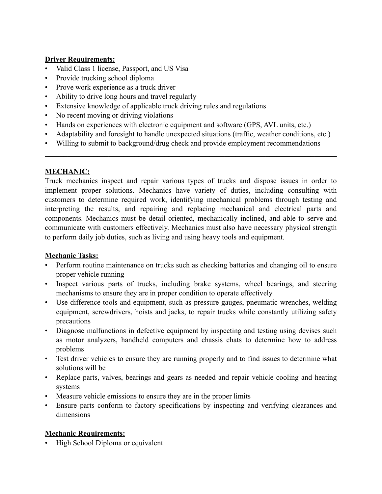### **Driver Requirements:**

- Valid Class 1 license, Passport, and US Visa
- Provide trucking school diploma
- Prove work experience as a truck driver
- Ability to drive long hours and travel regularly
- Extensive knowledge of applicable truck driving rules and regulations
- No recent moving or driving violations
- Hands on experiences with electronic equipment and software (GPS, AVL units, etc.)
- Adaptability and foresight to handle unexpected situations (traffic, weather conditions, etc.)

**\_\_\_\_\_\_\_\_\_\_\_\_\_\_\_\_\_\_\_\_\_\_\_\_\_\_\_\_\_\_\_\_\_\_\_\_\_\_\_\_\_\_\_\_\_\_\_\_\_\_\_\_\_\_\_\_\_\_\_\_\_\_\_\_\_\_\_\_\_\_\_\_\_\_\_\_\_\_** 

• Willing to submit to background/drug check and provide employment recommendations

## **MECHANIC:**

Truck mechanics inspect and repair various types of trucks and dispose issues in order to implement proper solutions. Mechanics have variety of duties, including consulting with customers to determine required work, identifying mechanical problems through testing and interpreting the results, and repairing and replacing mechanical and electrical parts and components. Mechanics must be detail oriented, mechanically inclined, and able to serve and communicate with customers effectively. Mechanics must also have necessary physical strength to perform daily job duties, such as living and using heavy tools and equipment.

## **Mechanic Tasks:**

- Perform routine maintenance on trucks such as checking batteries and changing oil to ensure proper vehicle running
- Inspect various parts of trucks, including brake systems, wheel bearings, and steering mechanisms to ensure they are in proper condition to operate effectively
- Use difference tools and equipment, such as pressure gauges, pneumatic wrenches, welding equipment, screwdrivers, hoists and jacks, to repair trucks while constantly utilizing safety precautions
- Diagnose malfunctions in defective equipment by inspecting and testing using devises such as motor analyzers, handheld computers and chassis chats to determine how to address problems
- Test driver vehicles to ensure they are running properly and to find issues to determine what solutions will be
- Replace parts, valves, bearings and gears as needed and repair vehicle cooling and heating systems
- Measure vehicle emissions to ensure they are in the proper limits
- Ensure parts conform to factory specifications by inspecting and verifying clearances and dimensions

## **Mechanic Requirements:**

• High School Diploma or equivalent